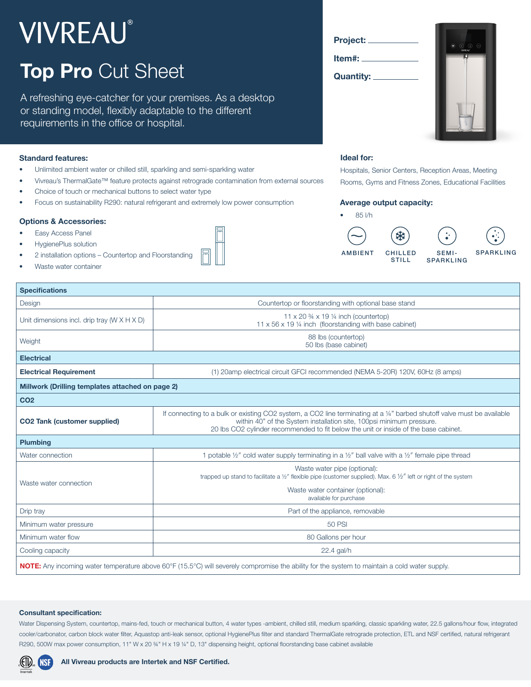# **VIVREAU®**

# **Top Pro** Cut Sheet

A refreshing eye-catcher for your premises. As a desktop or standing model, flexibly adaptable to the different requirements in the office or hospital.

#### **Standard features:**

- Unlimited ambient water or chilled still, sparkling and semi-sparkling water
- Vivreau's ThermalGate™ feature protects against retrograde contamination from external sources
- Choice of touch or mechanical buttons to select water type
- Focus on sustainability R290: natural refrigerant and extremely low power consumption

#### **Options & Accessories:**

- Easy Access Panel
- HygienePlus solution
- 2 installation options Countertop and Floorstanding
- Waste water container







#### **Ideal for:**

Hospitals, Senior Centers, Reception Areas, Meeting Rooms, Gyms and Fitness Zones, Educational Facilities

#### **Average output capacity:**

• 85 l/h





| $\bullet$ ".     |  |
|------------------|--|
| <b>SPARKLING</b> |  |

 $\curvearrowleft$ 

| <b>Specifications</b>                                                                                                                                |                                                                                                                                                                                                                                                                                         |  |
|------------------------------------------------------------------------------------------------------------------------------------------------------|-----------------------------------------------------------------------------------------------------------------------------------------------------------------------------------------------------------------------------------------------------------------------------------------|--|
| Design                                                                                                                                               | Countertop or floorstanding with optional base stand                                                                                                                                                                                                                                    |  |
| Unit dimensions incl. drip tray ( $W \times H \times D$ )                                                                                            | 11 x 20 $\frac{3}{4}$ x 19 $\frac{1}{4}$ inch (countertop)<br>11 x 56 x 19 1/4 inch (floorstanding with base cabinet)                                                                                                                                                                   |  |
| Weight                                                                                                                                               | 88 lbs (countertop)<br>50 lbs (base cabinet)                                                                                                                                                                                                                                            |  |
| <b>Electrical</b>                                                                                                                                    |                                                                                                                                                                                                                                                                                         |  |
| <b>Electrical Requirement</b>                                                                                                                        | (1) 20amp electrical circuit GFCI recommended (NEMA 5-20R) 120V, 60Hz (8 amps)                                                                                                                                                                                                          |  |
| Millwork (Drilling templates attached on page 2)                                                                                                     |                                                                                                                                                                                                                                                                                         |  |
| CO <sub>2</sub>                                                                                                                                      |                                                                                                                                                                                                                                                                                         |  |
| <b>CO2 Tank (customer supplied)</b>                                                                                                                  | If connecting to a bulk or existing CO2 system, a CO2 line terminating at a 1/4" barbed shutoff valve must be available<br>within 40" of the System installation site, 100psi minimum pressure.<br>20 lbs CO2 cylinder recommended to fit below the unit or inside of the base cabinet. |  |
| <b>Plumbing</b>                                                                                                                                      |                                                                                                                                                                                                                                                                                         |  |
| Water connection                                                                                                                                     | 1 potable 1/2" cold water supply terminating in a 1/2" ball valve with a 1/2" female pipe thread                                                                                                                                                                                        |  |
| Waste water connection                                                                                                                               | Waste water pipe (optional):<br>trapped up stand to facilitate a $1/2''$ flexible pipe (customer supplied). Max. 6 $1/2''$ left or right of the system                                                                                                                                  |  |
|                                                                                                                                                      | Waste water container (optional):<br>available for purchase                                                                                                                                                                                                                             |  |
| Drip tray                                                                                                                                            | Part of the appliance, removable                                                                                                                                                                                                                                                        |  |
| Minimum water pressure                                                                                                                               | 50 PSI                                                                                                                                                                                                                                                                                  |  |
| Minimum water flow                                                                                                                                   | 80 Gallons per hour                                                                                                                                                                                                                                                                     |  |
| Cooling capacity                                                                                                                                     | 22.4 gal/h                                                                                                                                                                                                                                                                              |  |
| <b>NOTE:</b> Any incoming water temperature above 60°F (15.5°C) will severely compromise the ability for the system to maintain a cold water supply. |                                                                                                                                                                                                                                                                                         |  |

#### **Consultant specification:**

Water Dispensing System, countertop, mains-fed, touch or mechanical button, 4 water types -ambient, chilled still, medium sparkling, classic sparkling water, 22.5 gallons/hour flow, integrated cooler/carbonator, carbon block water filter, Aquastop anti-leak sensor, optional HygienePlus filter and standard ThermalGate retrograde protection, ETL and NSF certified, natural refrigerant R290, 500W max power consumption, 11" W x 20 ¾" H x 19 ¼" D, 13" dispensing height, optional floorstanding base cabinet available